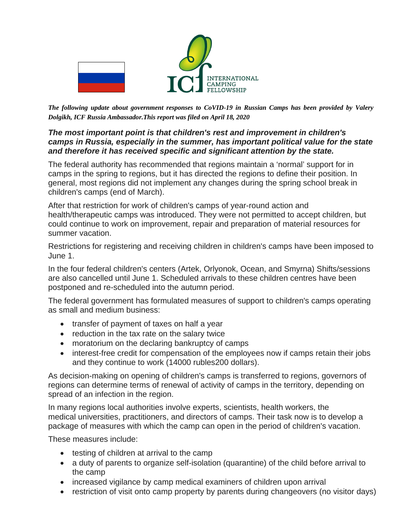

*The following update about government responses to CoVID-19 in Russian Camps has been provided by Valery Dolgikh, ICF Russia Ambassador.This report was filed on April 18, 2020*

## *The most important point is that children's rest and improvement in children's camps in Russia, especially in the summer, has important political value for the state and therefore it has received specific and significant attention by the state.*

The federal authority has recommended that regions maintain a 'normal' support for in camps in the spring to regions, but it has directed the regions to define their position. In general, most regions did not implement any changes during the spring school break in children's camps (end of March).

After that restriction for work of children's camps of year-round action and health/therapeutic camps was introduced. They were not permitted to accept children, but could continue to work on improvement, repair and preparation of material resources for summer vacation.

Restrictions for registering and receiving children in children's camps have been imposed to June 1.

In the four federal children's centers (Artek, Orlyonok, Ocean, and Smyrna) Shifts/sessions are also cancelled until June 1. Scheduled arrivals to these children centres have been postponed and re-scheduled into the autumn period.

The federal government has formulated measures of support to children's camps operating as small and medium business:

- transfer of payment of taxes on half a year
- reduction in the tax rate on the salary twice
- moratorium on the declaring bankruptcy of camps
- interest-free credit for compensation of the employees now if camps retain their jobs and they continue to work (14000 rubles200 dollars).

As decision-making on opening of children's camps is transferred to regions, governors of regions can determine terms of renewal of activity of camps in the territory, depending on spread of an infection in the region.

In many regions local authorities involve experts, scientists, health workers, the medical universities, practitioners, and directors of camps. Their task now is to develop a package of measures with which the camp can open in the period of children's vacation.

These measures include:

- testing of children at arrival to the camp
- a duty of parents to organize self-isolation (quarantine) of the child before arrival to the camp
- increased vigilance by camp medical examiners of children upon arrival
- restriction of visit onto camp property by parents during changeovers (no visitor days)